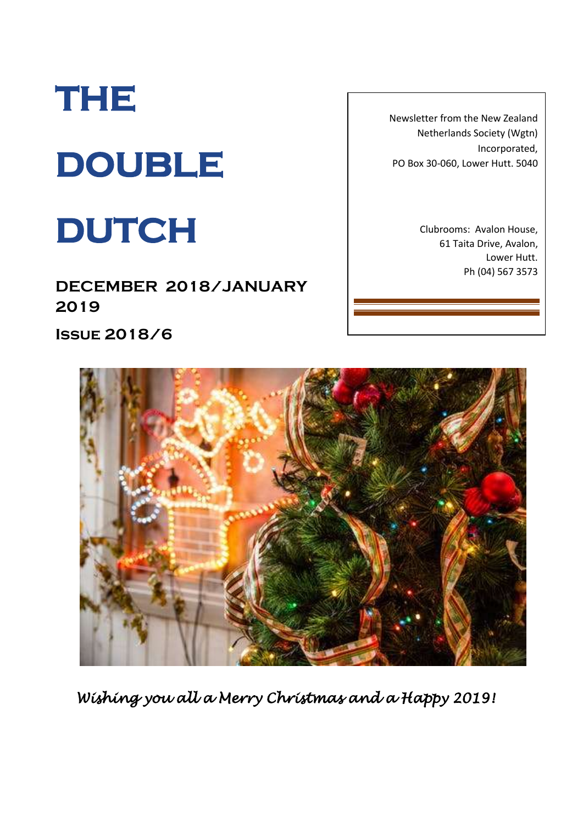# **THE DOUBLE**

## **DUTCH**

**DECEMBER 2018/JANUARY 2019**

**Issue 2018/6**

Newsletter from the New Zealand Netherlands Society (Wgtn) Incorporated, PO Box 30-060, Lower Hutt. 5040

> Clubrooms: Avalon House, 61 Taita Drive, Avalon, Lower Hutt. Ph (04) 567 3573



*Wishing you all a Merry Christmas and a Happy 2019!*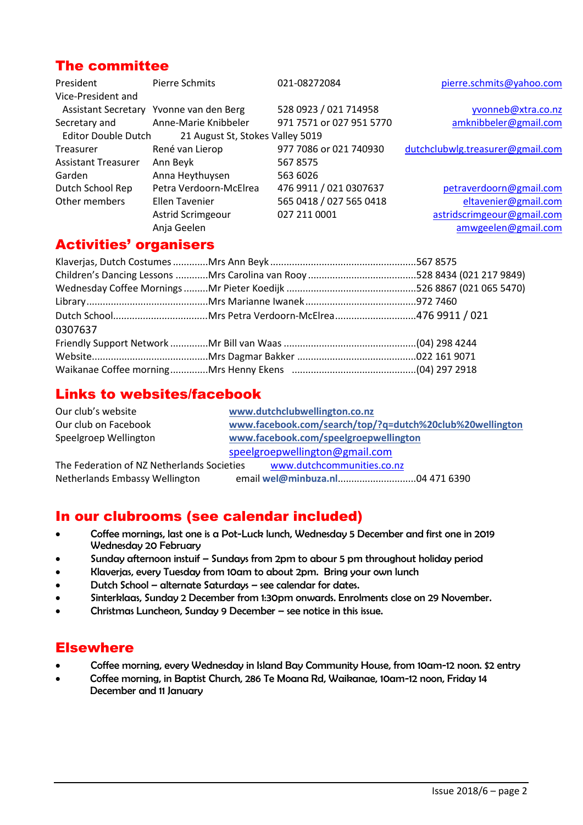#### The committee

| President                  | Pierre Schmits                          | 021-08272084             | pierre.schmits@yahoo.com         |
|----------------------------|-----------------------------------------|--------------------------|----------------------------------|
| Vice-President and         |                                         |                          |                                  |
|                            | Assistant Secretary Yvonne van den Berg | 528 0923 / 021 714958    | yvonneb@xtra.co.nz               |
| Secretary and              | Anne-Marie Knibbeler                    | 971 7571 or 027 951 5770 | amknibbeler@gmail.com            |
| <b>Editor Double Dutch</b> | 21 August St, Stokes Valley 5019        |                          |                                  |
| Treasurer                  | René van Lierop                         | 977 7086 or 021 740930   | dutchclubwlg.treasurer@gmail.com |
| <b>Assistant Treasurer</b> | Ann Beyk                                | 5678575                  |                                  |
| Garden                     | Anna Heythuysen                         | 563 6026                 |                                  |
| Dutch School Rep           | Petra Verdoorn-McElrea                  | 476 9911 / 021 0307637   | petraverdoorn@gmail.com          |
| Other members              | Ellen Tavenier                          | 565 0418 / 027 565 0418  | eltavenier@gmail.com             |
|                            | Astrid Scrimgeour                       | 027 211 0001             | astridscrimgeour@gmail.com       |
|                            | Anja Geelen                             |                          | amwgeelen@gmail.com              |

#### Activities' organisers

| 0307637 |  |
|---------|--|
|         |  |
|         |  |
|         |  |

#### Links to websites/facebook

| Our club's website                         | www.dutchclubwellington.co.nz                            |  |
|--------------------------------------------|----------------------------------------------------------|--|
| Our club on Facebook                       | www.facebook.com/search/top/?q=dutch%20club%20wellington |  |
| Speelgroep Wellington                      | www.facebook.com/speelgroepwellington                    |  |
|                                            | speelgroepwellington@gmail.com                           |  |
| The Federation of NZ Netherlands Societies | www.dutchcommunities.co.nz                               |  |
| Netherlands Embassy Wellington             |                                                          |  |

#### In our clubrooms (see calendar included)

- Coffee mornings, last one is a Pot-Luck lunch, Wednesday 5 December and first one in 2019 Wednesday 20 February
- Sunday afternoon instuif Sundays from 2pm to abour 5 pm throughout holiday period
- Klaverjas, every Tuesday from 10am to about 2pm. Bring your own lunch
- Dutch School alternate Saturdays see calendar for dates.
- Sinterklaas, Sunday 2 December from 1:30pm onwards. Enrolments close on 29 November.
- Christmas Luncheon, Sunday 9 December see notice in this issue.

#### **Elsewhere**

- Coffee morning, every Wednesday in Island Bay Community House, from 10am-12 noon. \$2 entry
- Coffee morning, in Baptist Church, 286 Te Moana Rd, Waikanae, 10am-12 noon, Friday 14 December and 11 January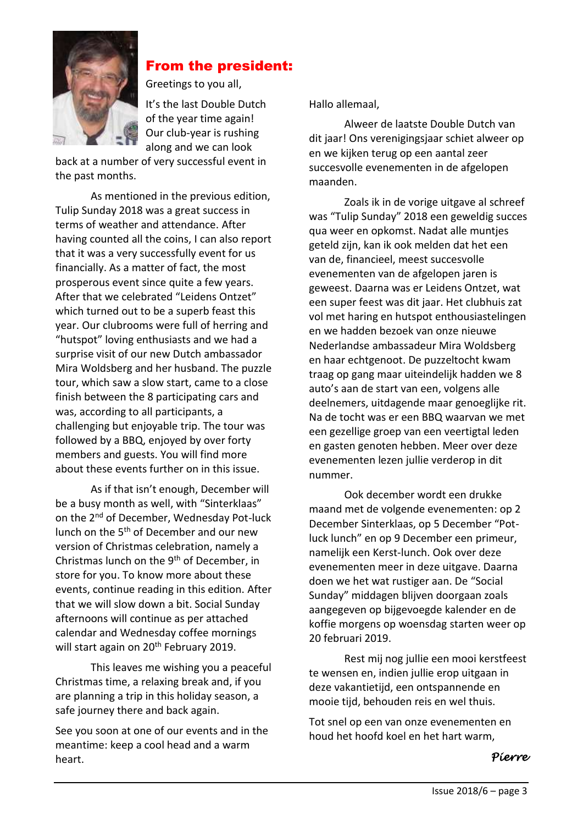

### From the president:

Greetings to you all,

It's the last Double Dutch of the year time again! Our club-year is rushing along and we can look

back at a number of very successful event in the past months.

As mentioned in the previous edition, Tulip Sunday 2018 was a great success in terms of weather and attendance. After having counted all the coins, I can also report that it was a very successfully event for us financially. As a matter of fact, the most prosperous event since quite a few years. After that we celebrated "Leidens Ontzet" which turned out to be a superb feast this year. Our clubrooms were full of herring and "hutspot" loving enthusiasts and we had a surprise visit of our new Dutch ambassador Mira Woldsberg and her husband. The puzzle tour, which saw a slow start, came to a close finish between the 8 participating cars and was, according to all participants, a challenging but enjoyable trip. The tour was followed by a BBQ, enjoyed by over forty members and guests. You will find more about these events further on in this issue.

As if that isn't enough, December will be a busy month as well, with "Sinterklaas" on the 2<sup>nd</sup> of December, Wednesday Pot-luck lunch on the 5<sup>th</sup> of December and our new version of Christmas celebration, namely a Christmas lunch on the 9th of December, in store for you. To know more about these events, continue reading in this edition. After that we will slow down a bit. Social Sunday afternoons will continue as per attached calendar and Wednesday coffee mornings will start again on 20<sup>th</sup> February 2019.

This leaves me wishing you a peaceful Christmas time, a relaxing break and, if you are planning a trip in this holiday season, a safe journey there and back again.

See you soon at one of our events and in the meantime: keep a cool head and a warm heart.

Hallo allemaal,

Alweer de laatste Double Dutch van dit jaar! Ons verenigingsjaar schiet alweer op en we kijken terug op een aantal zeer succesvolle evenementen in de afgelopen maanden.

Zoals ik in de vorige uitgave al schreef was "Tulip Sunday" 2018 een geweldig succes qua weer en opkomst. Nadat alle muntjes geteld zijn, kan ik ook melden dat het een van de, financieel, meest succesvolle evenementen van de afgelopen jaren is geweest. Daarna was er Leidens Ontzet, wat een super feest was dit jaar. Het clubhuis zat vol met haring en hutspot enthousiastelingen en we hadden bezoek van onze nieuwe Nederlandse ambassadeur Mira Woldsberg en haar echtgenoot. De puzzeltocht kwam traag op gang maar uiteindelijk hadden we 8 auto's aan de start van een, volgens alle deelnemers, uitdagende maar genoeglijke rit. Na de tocht was er een BBQ waarvan we met een gezellige groep van een veertigtal leden en gasten genoten hebben. Meer over deze evenementen lezen jullie verderop in dit nummer.

Ook december wordt een drukke maand met de volgende evenementen: op 2 December Sinterklaas, op 5 December "Potluck lunch" en op 9 December een primeur, namelijk een Kerst-lunch. Ook over deze evenementen meer in deze uitgave. Daarna doen we het wat rustiger aan. De "Social Sunday" middagen blijven doorgaan zoals aangegeven op bijgevoegde kalender en de koffie morgens op woensdag starten weer op 20 februari 2019.

Rest mij nog jullie een mooi kerstfeest te wensen en, indien jullie erop uitgaan in deze vakantietijd, een ontspannende en mooie tijd, behouden reis en wel thuis.

Tot snel op een van onze evenementen en houd het hoofd koel en het hart warm,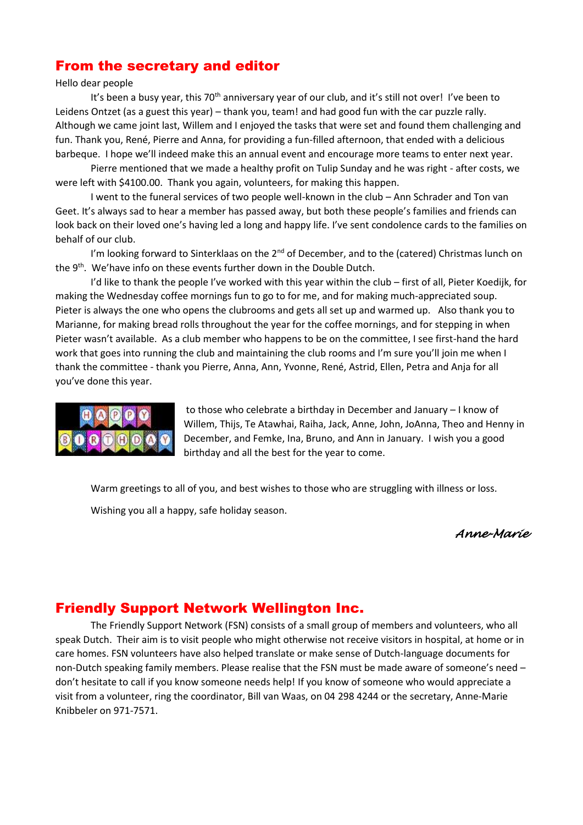#### From the secretary and editor

#### Hello dear people

It's been a busy year, this 70<sup>th</sup> anniversary year of our club, and it's still not over! I've been to Leidens Ontzet (as a guest this year) – thank you, team! and had good fun with the car puzzle rally. Although we came joint last, Willem and I enjoyed the tasks that were set and found them challenging and fun. Thank you, René, Pierre and Anna, for providing a fun-filled afternoon, that ended with a delicious barbeque. I hope we'll indeed make this an annual event and encourage more teams to enter next year.

Pierre mentioned that we made a healthy profit on Tulip Sunday and he was right - after costs, we were left with \$4100.00. Thank you again, volunteers, for making this happen.

I went to the funeral services of two people well-known in the club – Ann Schrader and Ton van Geet. It's always sad to hear a member has passed away, but both these people's families and friends can look back on their loved one's having led a long and happy life. I've sent condolence cards to the families on behalf of our club.

I'm looking forward to Sinterklaas on the 2<sup>nd</sup> of December, and to the (catered) Christmas lunch on the 9<sup>th</sup>. We'have info on these events further down in the Double Dutch.

I'd like to thank the people I've worked with this year within the club – first of all, Pieter Koedijk, for making the Wednesday coffee mornings fun to go to for me, and for making much-appreciated soup. Pieter is always the one who opens the clubrooms and gets all set up and warmed up. Also thank you to Marianne, for making bread rolls throughout the year for the coffee mornings, and for stepping in when Pieter wasn't available. As a club member who happens to be on the committee, I see first-hand the hard work that goes into running the club and maintaining the club rooms and I'm sure you'll join me when I thank the committee - thank you Pierre, Anna, Ann, Yvonne, René, Astrid, Ellen, Petra and Anja for all you've done this year.



to those who celebrate a birthday in December and January – I know of Willem, Thijs, Te Atawhai, Raiha, Jack, Anne, John, JoAnna, Theo and Henny in December, and Femke, Ina, Bruno, and Ann in January. I wish you a good birthday and all the best for the year to come.

Warm greetings to all of you, and best wishes to those who are struggling with illness or loss.

Wishing you all a happy, safe holiday season.

#### *Anne-Marie*

#### Friendly Support Network Wellington Inc.

The Friendly Support Network (FSN) consists of a small group of members and volunteers, who all speak Dutch. Their aim is to visit people who might otherwise not receive visitors in hospital, at home or in care homes. FSN volunteers have also helped translate or make sense of Dutch-language documents for non-Dutch speaking family members. Please realise that the FSN must be made aware of someone's need – don't hesitate to call if you know someone needs help! If you know of someone who would appreciate a visit from a volunteer, ring the coordinator, Bill van Waas, on 04 298 4244 or the secretary, Anne-Marie Knibbeler on 971-7571.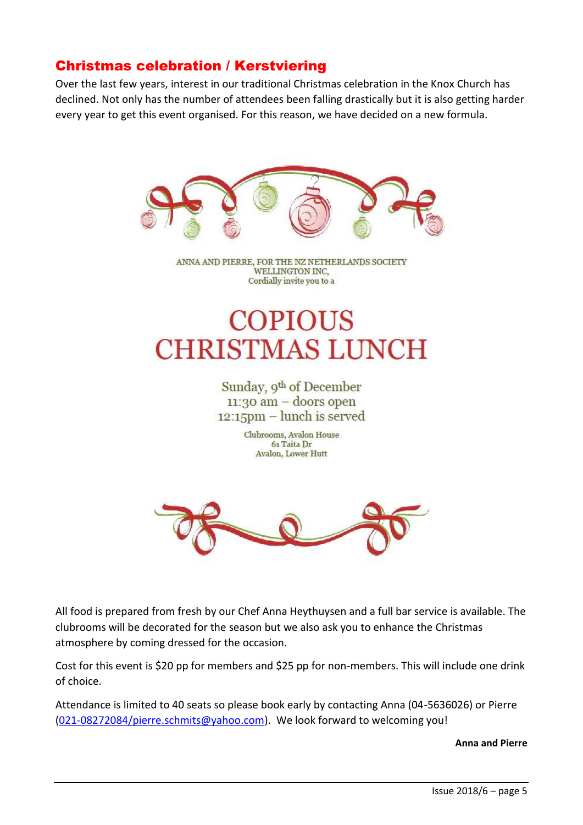#### Christmas celebration / Kerstviering

Over the last few years, interest in our traditional Christmas celebration in the Knox Church has declined. Not only has the number of attendees been falling drastically but it is also getting harder every year to get this event organised. For this reason, we have decided on a new formula.



ANNA AND PIERRE, FOR THE NZ NETHERLANDS SOCIETY **WELLINGTON INC.** Cordially invite you to a

## **COPIOUS CHRISTMAS LUNCH**

Sunday, 9th of December  $11:30$  am  $-$  doors open  $12:15$ pm – lunch is served

> Clubrooms, Avalon House 61 Taita Dr **Avalon, Lower Hutt**



All food is prepared from fresh by our Chef Anna Heythuysen and a full bar service is available. The clubrooms will be decorated for the season but we also ask you to enhance the Christmas atmosphere by coming dressed for the occasion.

Cost for this event is \$20 pp for members and \$25 pp for non-members. This will include one drink of choice.

Attendance is limited to 40 seats so please book early by contacting Anna (04-5636026) or Pierre [\(021-08272084/pierre.schmits@yahoo.com\)](mailto:021-08272084/pierre.schmits@yahoo.com). We look forward to welcoming you!

**Anna and Pierre**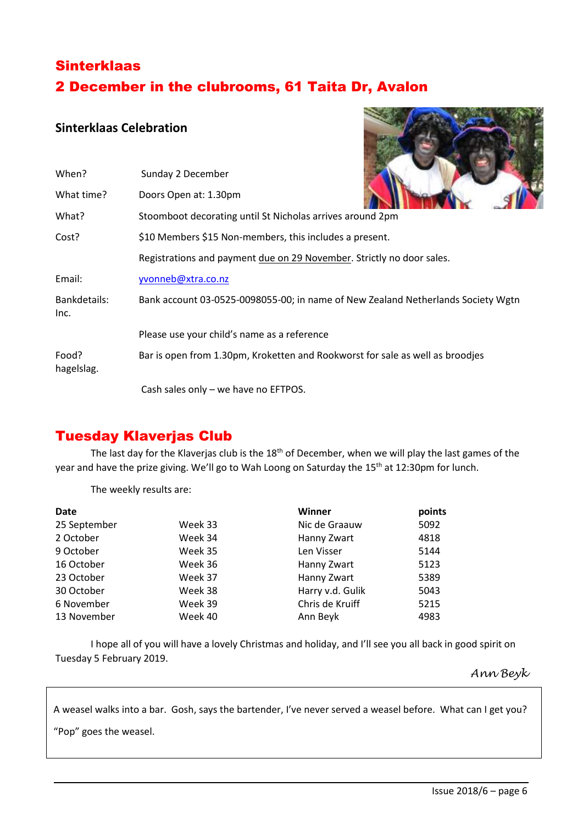## **Sinterklaas** 2 December in the clubrooms, 61 Taita Dr, Avalon

#### **Sinterklaas Celebration**



| When?                | Sunday 2 December                                                                |
|----------------------|----------------------------------------------------------------------------------|
| What time?           | Doors Open at: 1.30pm                                                            |
| What?                | Stoomboot decorating until St Nicholas arrives around 2pm                        |
| Cost?                | \$10 Members \$15 Non-members, this includes a present.                          |
|                      | Registrations and payment due on 29 November. Strictly no door sales.            |
| Email:               | yvonneb@xtra.co.nz                                                               |
| Bankdetails:<br>Inc. | Bank account 03-0525-0098055-00; in name of New Zealand Netherlands Society Wgtn |
|                      | Please use your child's name as a reference                                      |
| Food?<br>hagelslag.  | Bar is open from 1.30pm, Kroketten and Rookworst for sale as well as broodjes    |
|                      | Cash sales only - we have no EFTPOS.                                             |

### Tuesday Klaverjas Club

The last day for the Klaverjas club is the 18<sup>th</sup> of December, when we will play the last games of the year and have the prize giving. We'll go to Wah Loong on Saturday the 15<sup>th</sup> at 12:30pm for lunch.

The weekly results are:

| <b>Date</b>  |         | Winner           | points |
|--------------|---------|------------------|--------|
| 25 September | Week 33 | Nic de Graauw    | 5092   |
| 2 October    | Week 34 | Hanny Zwart      | 4818   |
| 9 October    | Week 35 | Len Visser       | 5144   |
| 16 October   | Week 36 | Hanny Zwart      | 5123   |
| 23 October   | Week 37 | Hanny Zwart      | 5389   |
| 30 October   | Week 38 | Harry v.d. Gulik | 5043   |
| 6 November   | Week 39 | Chris de Kruiff  | 5215   |
| 13 November  | Week 40 | Ann Beyk         | 4983   |

I hope all of you will have a lovely Christmas and holiday, and I'll see you all back in good spirit on Tuesday 5 February 2019.

#### *Ann Beyk*

A weasel walks into a bar. Gosh, says the bartender, I've never served a weasel before. What can I get you?

"Pop" goes the weasel.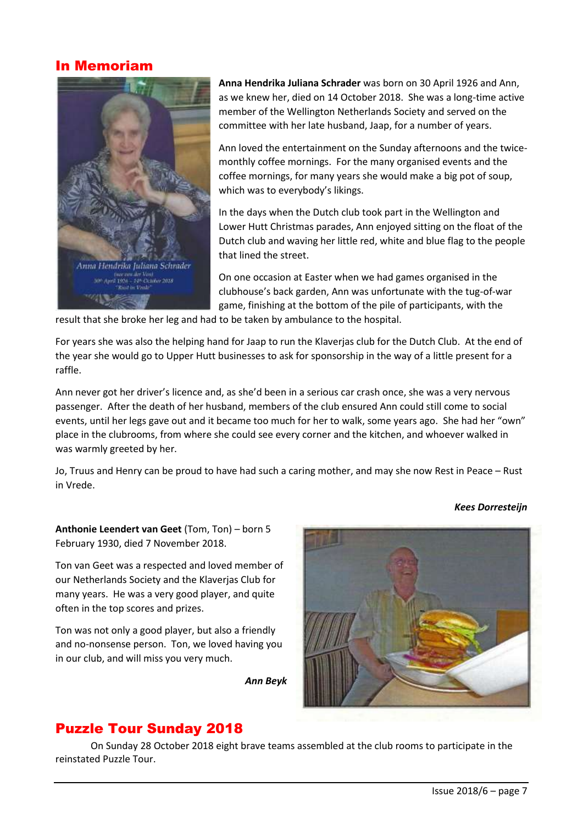#### In Memoriam



**Anna Hendrika Juliana Schrader** was born on 30 April 1926 and Ann, as we knew her, died on 14 October 2018. She was a long-time active member of the Wellington Netherlands Society and served on the committee with her late husband, Jaap, for a number of years.

Ann loved the entertainment on the Sunday afternoons and the twicemonthly coffee mornings. For the many organised events and the coffee mornings, for many years she would make a big pot of soup, which was to everybody's likings.

In the days when the Dutch club took part in the Wellington and Lower Hutt Christmas parades, Ann enjoyed sitting on the float of the Dutch club and waving her little red, white and blue flag to the people that lined the street.

On one occasion at Easter when we had games organised in the clubhouse's back garden, Ann was unfortunate with the tug-of-war game, finishing at the bottom of the pile of participants, with the

result that she broke her leg and had to be taken by ambulance to the hospital.

For years she was also the helping hand for Jaap to run the Klaverjas club for the Dutch Club. At the end of the year she would go to Upper Hutt businesses to ask for sponsorship in the way of a little present for a raffle.

Ann never got her driver's licence and, as she'd been in a serious car crash once, she was a very nervous passenger. After the death of her husband, members of the club ensured Ann could still come to social events, until her legs gave out and it became too much for her to walk, some years ago. She had her "own" place in the clubrooms, from where she could see every corner and the kitchen, and whoever walked in was warmly greeted by her.

Jo, Truus and Henry can be proud to have had such a caring mother, and may she now Rest in Peace – Rust in Vrede.

*Kees Dorresteijn*

**Anthonie Leendert van Geet** (Tom, Ton) – born 5 February 1930, died 7 November 2018.

Ton van Geet was a respected and loved member of our Netherlands Society and the Klaverjas Club for many years. He was a very good player, and quite often in the top scores and prizes.

Ton was not only a good player, but also a friendly and no-nonsense person. Ton, we loved having you in our club, and will miss you very much.

*Ann Beyk*



### Puzzle Tour Sunday 2018

On Sunday 28 October 2018 eight brave teams assembled at the club rooms to participate in the reinstated Puzzle Tour.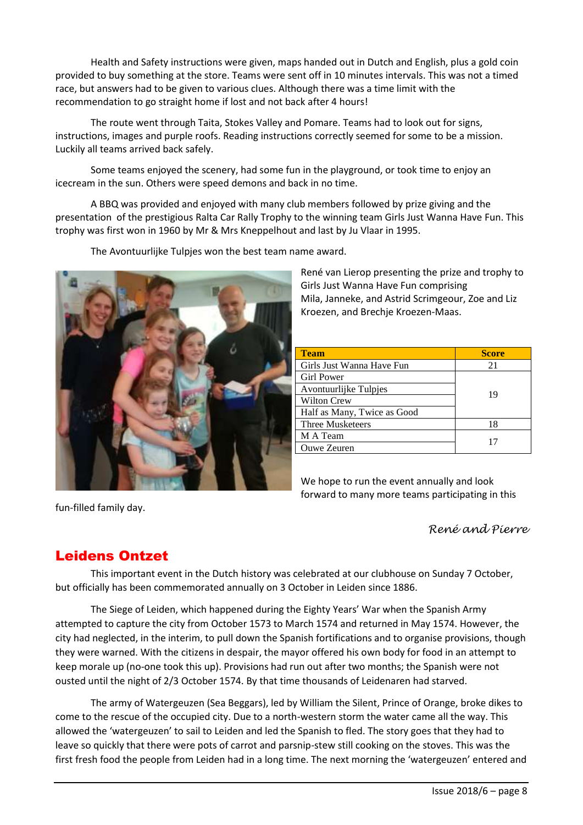Health and Safety instructions were given, maps handed out in Dutch and English, plus a gold coin provided to buy something at the store. Teams were sent off in 10 minutes intervals. This was not a timed race, but answers had to be given to various clues. Although there was a time limit with the recommendation to go straight home if lost and not back after 4 hours!

The route went through Taita, Stokes Valley and Pomare. Teams had to look out for signs, instructions, images and purple roofs. Reading instructions correctly seemed for some to be a mission. Luckily all teams arrived back safely.

Some teams enjoyed the scenery, had some fun in the playground, or took time to enjoy an icecream in the sun. Others were speed demons and back in no time.

A BBQ was provided and enjoyed with many club members followed by prize giving and the presentation of the prestigious Ralta Car Rally Trophy to the winning team Girls Just Wanna Have Fun. This trophy was first won in 1960 by Mr & Mrs Kneppelhout and last by Ju Vlaar in 1995.

The Avontuurlijke Tulpjes won the best team name award.



| <b>Team</b>                 | <b>Score</b> |
|-----------------------------|--------------|
| Girls Just Wanna Have Fun   | 21           |
| <b>Girl Power</b>           |              |
| Avontuurlijke Tulpjes       | 19           |
| <b>Wilton Crew</b>          |              |
| Half as Many, Twice as Good |              |
| Three Musketeers            | 18           |
| M A Team                    | 17           |
| Ouwe Zeuren                 |              |

We hope to run the event annually and look forward to many more teams participating in this

fun-filled family day.

#### *René and Pierre*

#### Leidens Ontzet

This important event in the Dutch history was celebrated at our clubhouse on Sunday 7 October, but officially has been commemorated annually on 3 October in Leiden since 1886.

The Siege of Leiden, which happened during the Eighty Years' War when the Spanish Army attempted to capture the city from October 1573 to March 1574 and returned in May 1574. However, the city had neglected, in the interim, to pull down the Spanish fortifications and to organise provisions, though they were warned. With the citizens in despair, the mayor offered his own body for food in an attempt to keep morale up (no-one took this up). Provisions had run out after two months; the Spanish were not ousted until the night of 2/3 October 1574. By that time thousands of Leidenaren had starved.

The army of Watergeuzen (Sea Beggars), led by William the Silent, Prince of Orange, broke dikes to come to the rescue of the occupied city. Due to a north-western storm the water came all the way. This allowed the 'watergeuzen' to sail to Leiden and led the Spanish to fled. The story goes that they had to leave so quickly that there were pots of carrot and parsnip-stew still cooking on the stoves. This was the first fresh food the people from Leiden had in a long time. The next morning the 'watergeuzen' entered and

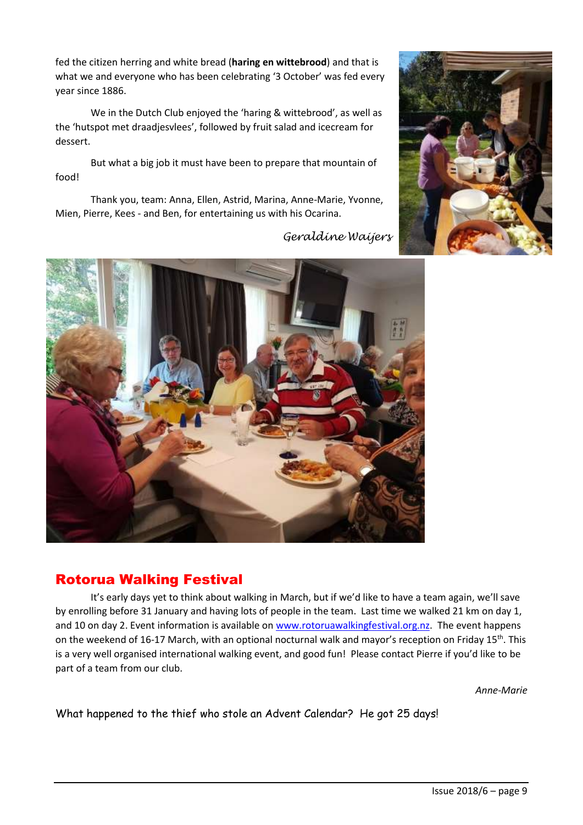fed the citizen herring and white bread (**haring en wittebrood**) and that is what we and everyone who has been celebrating '3 October' was fed every year since 1886.

We in the Dutch Club enjoyed the 'haring & wittebrood', as well as the 'hutspot met draadjesvlees', followed by fruit salad and icecream for dessert.

But what a big job it must have been to prepare that mountain of food!

Thank you, team: Anna, Ellen, Astrid, Marina, Anne-Marie, Yvonne, Mien, Pierre, Kees - and Ben, for entertaining us with his Ocarina.



## Rotorua Walking Festival

It's early days yet to think about walking in March, but if we'd like to have a team again, we'll save by enrolling before 31 January and having lots of people in the team. Last time we walked 21 km on day 1, and 10 on day 2. Event information is available on [www.rotoruawalkingfestival.org.nz.](http://www.rotoruawalkingfestival.org.nz/) The event happens on the weekend of 16-17 March, with an optional nocturnal walk and mayor's reception on Friday 15<sup>th</sup>. This is a very well organised international walking event, and good fun! Please contact Pierre if you'd like to be part of a team from our club.

*Anne-Marie*

What happened to the thief who stole an Advent Calendar? He got 25 days!

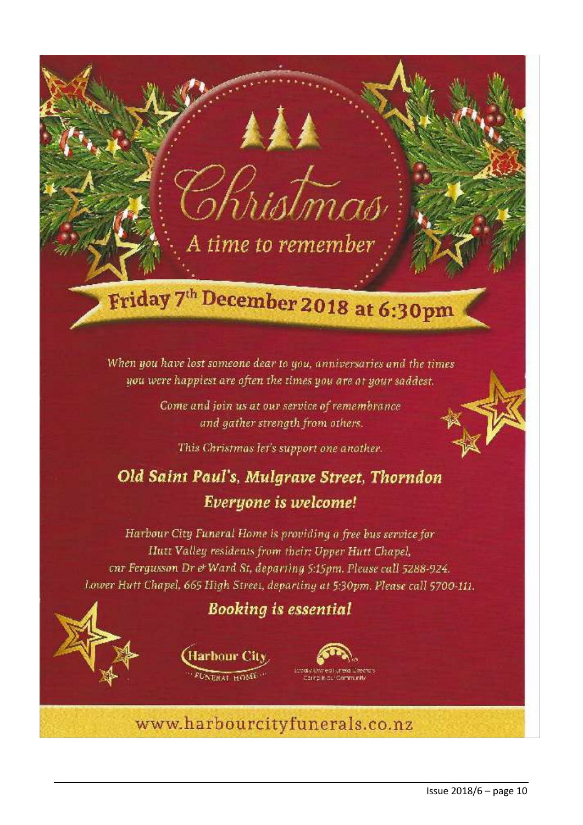## Friday 7<sup>th</sup> December 2018 at 6:30pm

A time to remember

When you have lost someone dear to you, anniversaries and the times you were happiest are often the times you are at your saddest.

> Come and join us at our service of remembrance and gather strength from others.

This Christmas let's support one another.

## Old Saint Paul's, Mulgrave Street, Thorndon Everyone is welcome!

Harbour City Funeral Home is providing a free bus service for Hutt Valley residents from their: Upper Hutt Chapel, onr Fergusson Dr & Ward St, departing 5:15pm. Please call 5288-924. Lower Hutt Chapel, 665 High Street, departing at 5:30pm. Please call 5700-111.

## **Booking is essential**





www.harbourcityfunerals.co.nz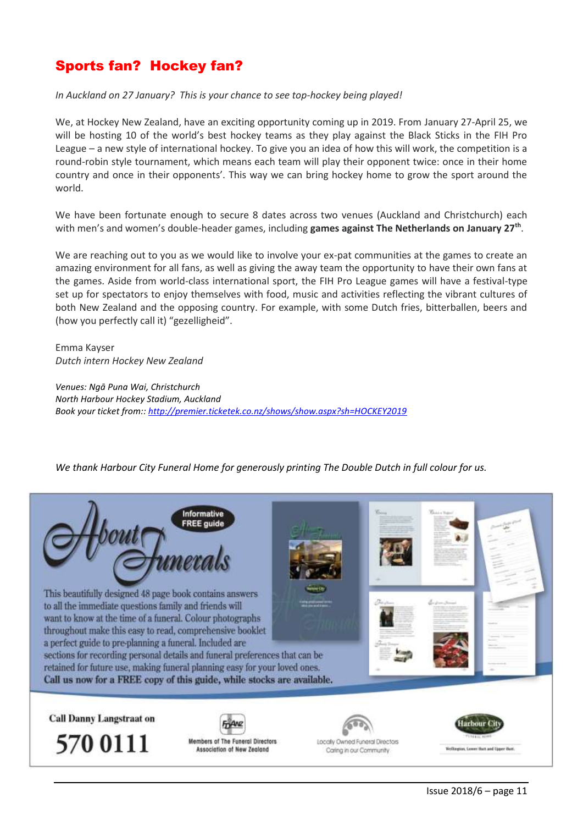## Sports fan? Hockey fan?

#### *In Auckland on 27 January? This is your chance to see top-hockey being played!*

We, at Hockey New Zealand, have an exciting opportunity coming up in 2019. From January 27-April 25, we will be hosting 10 of the world's best hockey teams as they play against the Black Sticks in the FIH Pro League – a new style of international hockey. To give you an idea of how this will work, the competition is a round-robin style tournament, which means each team will play their opponent twice: once in their home country and once in their opponents'. This way we can bring hockey home to grow the sport around the world.

We have been fortunate enough to secure 8 dates across two venues (Auckland and Christchurch) each with men's and women's double-header games, including **games against The Netherlands on January 27th** .

We are reaching out to you as we would like to involve your ex-pat communities at the games to create an amazing environment for all fans, as well as giving the away team the opportunity to have their own fans at the games. Aside from world-class international sport, the FIH Pro League games will have a festival-type set up for spectators to enjoy themselves with food, music and activities reflecting the vibrant cultures of both New Zealand and the opposing country. For example, with some Dutch fries, bitterballen, beers and (how you perfectly call it) "gezelligheid".

Emma Kayser *Dutch intern Hockey New Zealand*

*Venues: Ngā Puna Wai, Christchurch North Harbour Hockey Stadium, Auckland Book your ticket from:[: http://premier.ticketek.co.nz/shows/show.aspx?sh=HOCKEY2019](http://premier.ticketek.co.nz/shows/show.aspx?sh=HOCKEY2019)*

*We thank Harbour City Funeral Home for generously printing The Double Dutch in full colour for us.*